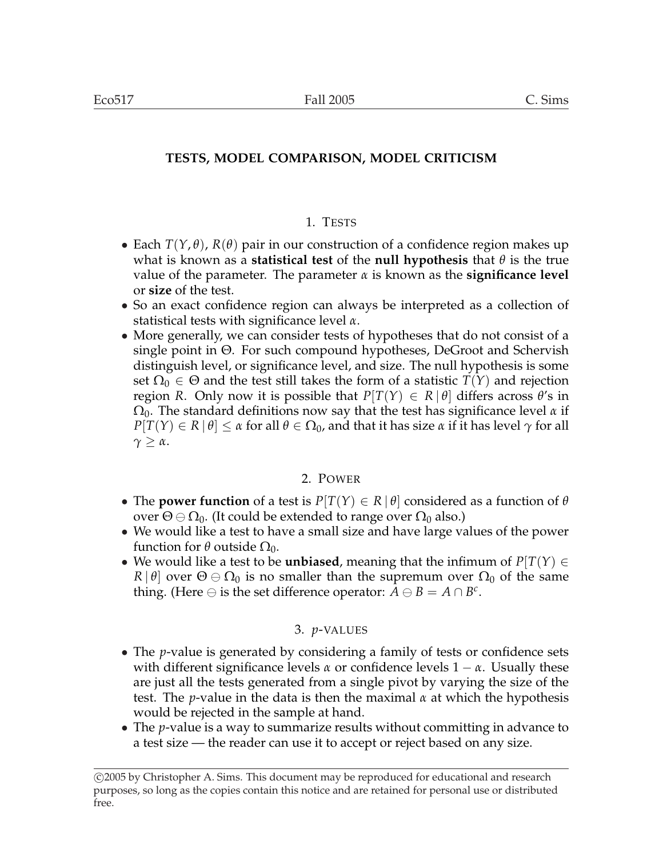# **TESTS, MODEL COMPARISON, MODEL CRITICISM**

# 1. TESTS

- Each  $T(Y, \theta)$ ,  $R(\theta)$  pair in our construction of a confidence region makes up what is known as a **statistical test** of the **null hypothesis** that *θ* is the true value of the parameter. The parameter *α* is known as the **significance level** or **size** of the test.
- So an exact confidence region can always be interpreted as a collection of statistical tests with significance level *α*.
- More generally, we can consider tests of hypotheses that do not consist of a single point in Θ. For such compound hypotheses, DeGroot and Schervish distinguish level, or significance level, and size. The null hypothesis is some set  $\Omega_0 \in \Theta$  and the test still takes the form of a statistic  $T(Y)$  and rejection region *R*. Only now it is possible that  $P[T(Y) \in R | \theta]$  differs across  $\theta$ 's in  $\Omega_0$ . The standard definitions now say that the test has significance level  $\alpha$  if  $P[T(Y) \in R | \theta] \leq \alpha$  for all  $\theta \in \Omega_0$ , and that it has size  $\alpha$  if it has level  $\gamma$  for all *γ* ≥ *α*.

# 2. POWER

- The **power function** of a test is  $P[T(Y) \in R | \theta]$  considered as a function of  $\theta$ over  $\Theta \ominus \Omega_0$ . (It could be extended to range over  $\Omega_0$  also.)
- We would like a test to have a small size and have large values of the power function for  $θ$  outside  $Ω_0$ .
- We would like a test to be **unbiased**, meaning that the infimum of  $P[T(Y) \in$ *R* |  $\theta$ | over  $\Theta \oplus \Omega_0$  is no smaller than the supremum over  $\Omega_0$  of the same thing. (Here  $\ominus$  is the set difference operator:  $\overline{A} \ominus B = A \cap B^c$ .

# 3. *p*-VALUES

- The *p*-value is generated by considering a family of tests or confidence sets with different significance levels  $\alpha$  or confidence levels  $1 - \alpha$ . Usually these are just all the tests generated from a single pivot by varying the size of the test. The *p*-value in the data is then the maximal *α* at which the hypothesis would be rejected in the sample at hand.
- The *p*-value is a way to summarize results without committing in advance to a test size — the reader can use it to accept or reject based on any size.

<sup>°</sup>c 2005 by Christopher A. Sims. This document may be reproduced for educational and research purposes, so long as the copies contain this notice and are retained for personal use or distributed free.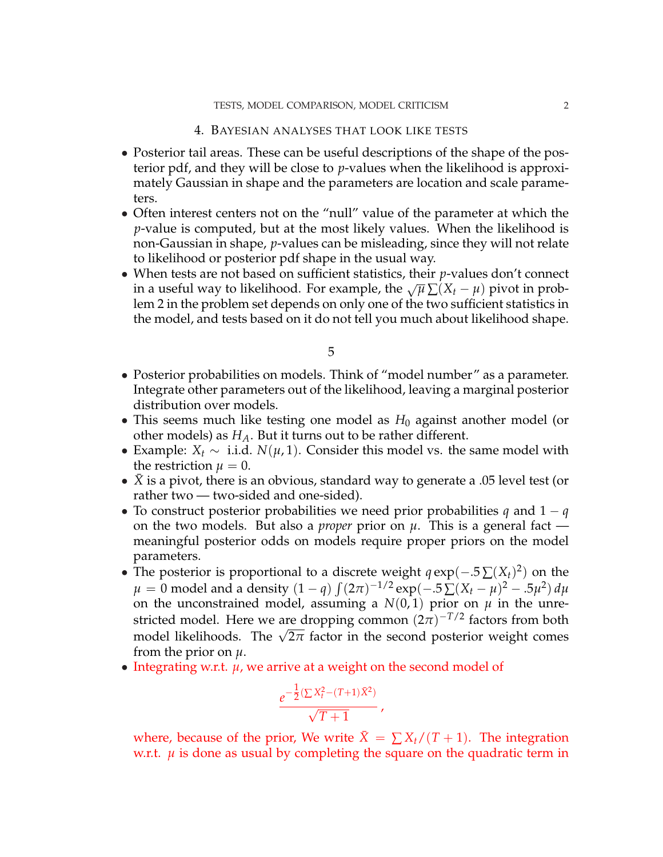#### TESTS, MODEL COMPARISON, MODEL CRITICISM 2

#### 4. BAYESIAN ANALYSES THAT LOOK LIKE TESTS

- Posterior tail areas. These can be useful descriptions of the shape of the posterior pdf, and they will be close to *p*-values when the likelihood is approximately Gaussian in shape and the parameters are location and scale parameters.
- Often interest centers not on the "null" value of the parameter at which the *p*-value is computed, but at the most likely values. When the likelihood is non-Gaussian in shape, *p*-values can be misleading, since they will not relate to likelihood or posterior pdf shape in the usual way.
- When tests are not based on sufficient statistics, their *p*-values don't connect in a useful way to likelihood. For example, the  $\sqrt{\mu} \sum (X_t - \mu)$  pivot in problem 2 in the problem set depends on only one of the two sufficient statistics in the model, and tests based on it do not tell you much about likelihood shape.

5

- Posterior probabilities on models. Think of "model number" as a parameter. Integrate other parameters out of the likelihood, leaving a marginal posterior distribution over models.
- This seems much like testing one model as  $H_0$  against another model (or other models) as *HA*. But it turns out to be rather different.
- Example: *X<sup>t</sup>* ∼ i.i.d. *N*(*µ*, 1). Consider this model vs. the same model with the restriction  $\mu = 0$ .
- $\bar{X}$  is a pivot, there is an obvious, standard way to generate a .05 level test (or rather two — two-sided and one-sided).
- To construct posterior probabilities we need prior probabilities *q* and 1 − *q* on the two models. But also a *proper* prior on *µ*. This is a general fact meaningful posterior odds on models require proper priors on the model parameters.
- The posterior is proportional to a discrete weight  $q \exp(-.5 \sum (X_t)^2)$  on the  $\mu = 0$  model and a density  $(1 - q) \int (2\pi)^{-1/2} \exp(-.5 \sum (X_t - \mu)^2 - .5 \mu^2) \, d\mu$ on the unconstrained model, assuming a  $N(0, 1)$  prior on  $\mu$  in the unrestricted model. Here we are dropping common  $(2\pi)^{-T/2}$  factors from both stricted model. Here we are dropping common  $(2\pi)$  actors from both model likelihoods. The  $\sqrt{2\pi}$  factor in the second posterior weight comes from the prior on *µ*.
- Integrating w.r.t. *µ*, we arrive at a weight on the second model of

$$
\frac{e^{-\frac{1}{2}(\sum X_t^2 - (T+1)\bar{X}^2)}}{\sqrt{T+1}},
$$

where, because of the prior, We write  $X = \sum X_t/(T+1)$ . The integration w.r.t.  $\mu$  is done as usual by completing the square on the quadratic term in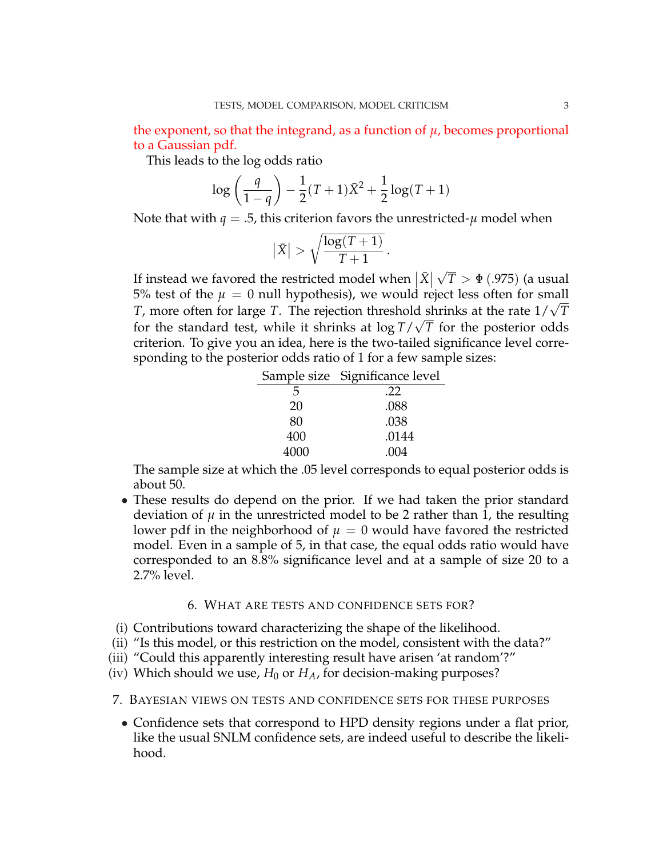the exponent, so that the integrand, as a function of  $\mu$ , becomes proportional to a Gaussian pdf.

This leads to the log odds ratio

$$
\log\left(\frac{q}{1-q}\right) - \frac{1}{2}(T+1)\bar{X}^2 + \frac{1}{2}\log(T+1)
$$

Note that with  $q = 0.5$ , this criterion favors the unrestricted- $\mu$  model when

$$
\left|\bar{X}\right| > \sqrt{\frac{\log(T+1)}{T+1}}\,.
$$

If instead we favored the restricted model when  $|\bar{X}| \sqrt{}$ *T* > Φ(.975) (a usual 5% test of the  $\mu = 0$  null hypothesis), we would reject less often for small *T*, more often for large *T*. The rejection threshold shrinks at the rate  $1/\sqrt{T}$ for the standard test, while it shrinks at  $\log T / \sqrt{T}$  for the posterior odds criterion. To give you an idea, here is the two-tailed significance level corresponding to the posterior odds ratio of 1 for a few sample sizes:

|      | Sample size Significance level |
|------|--------------------------------|
| 5    | .22                            |
| 20   | .088                           |
| 80   | .038                           |
| 400  | .0144                          |
| 4000 | .004                           |

The sample size at which the .05 level corresponds to equal posterior odds is about 50.

• These results do depend on the prior. If we had taken the prior standard deviation of  $\mu$  in the unrestricted model to be 2 rather than 1, the resulting lower pdf in the neighborhood of  $\mu = 0$  would have favored the restricted model. Even in a sample of 5, in that case, the equal odds ratio would have corresponded to an 8.8% significance level and at a sample of size 20 to a 2.7% level.

### 6. WHAT ARE TESTS AND CONFIDENCE SETS FOR?

- (i) Contributions toward characterizing the shape of the likelihood.
- (ii) "Is this model, or this restriction on the model, consistent with the data?"
- (iii) "Could this apparently interesting result have arisen 'at random'?"
- (iv) Which should we use,  $H_0$  or  $H_A$ , for decision-making purposes?

## 7. BAYESIAN VIEWS ON TESTS AND CONFIDENCE SETS FOR THESE PURPOSES

• Confidence sets that correspond to HPD density regions under a flat prior, like the usual SNLM confidence sets, are indeed useful to describe the likelihood.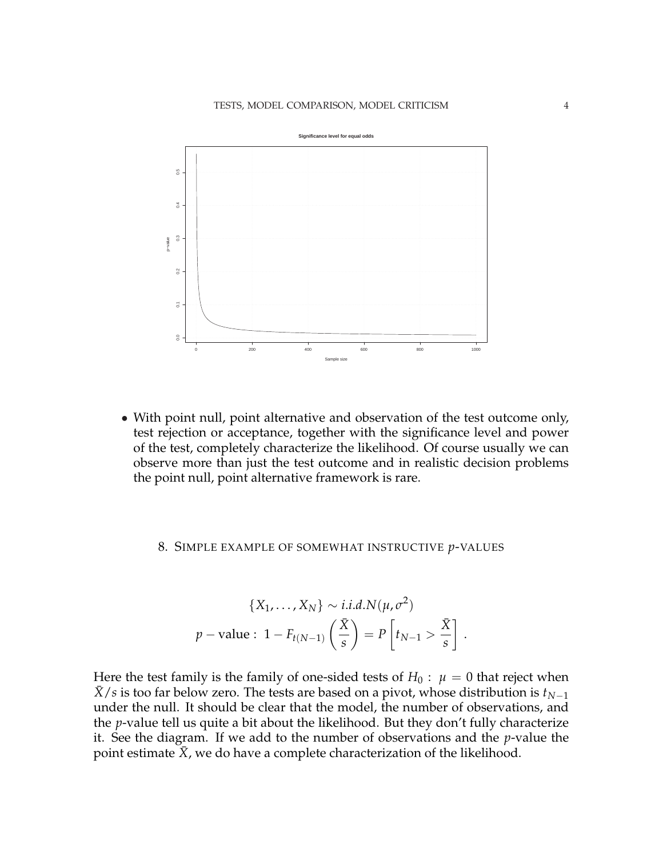

• With point null, point alternative and observation of the test outcome only, test rejection or acceptance, together with the significance level and power of the test, completely characterize the likelihood. Of course usually we can observe more than just the test outcome and in realistic decision problems the point null, point alternative framework is rare.

## 8. SIMPLE EXAMPLE OF SOMEWHAT INSTRUCTIVE *p*-VALUES

$$
\{X_1, \ldots, X_N\} \sim i.i.d.N(\mu, \sigma^2)
$$
  

$$
p-\text{value}: 1 - F_{t(N-1)}\left(\frac{\bar{X}}{s}\right) = P\left[t_{N-1} > \frac{\bar{X}}{s}\right].
$$

Here the test family is the family of one-sided tests of  $H_0: \mu = 0$  that reject when  $\bar{X}/s$  is too far below zero. The tests are based on a pivot, whose distribution is  $t_{N-1}$ under the null. It should be clear that the model, the number of observations, and the *p*-value tell us quite a bit about the likelihood. But they don't fully characterize it. See the diagram. If we add to the number of observations and the *p*-value the point estimate  $\bar{X}$ , we do have a complete characterization of the likelihood.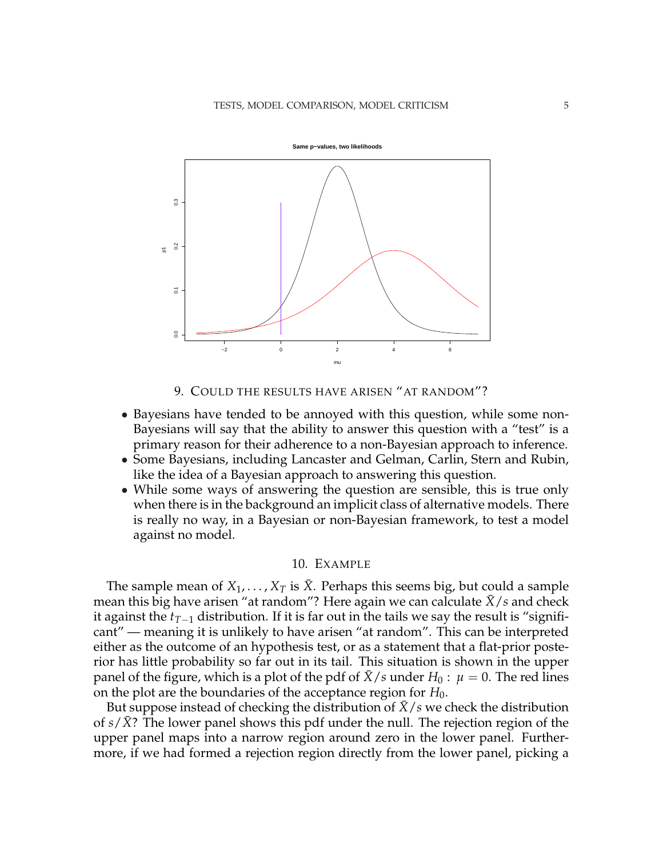

9. COULD THE RESULTS HAVE ARISEN "AT RANDOM"?

- Bayesians have tended to be annoyed with this question, while some non-Bayesians will say that the ability to answer this question with a "test" is a primary reason for their adherence to a non-Bayesian approach to inference.
- Some Bayesians, including Lancaster and Gelman, Carlin, Stern and Rubin, like the idea of a Bayesian approach to answering this question.
- While some ways of answering the question are sensible, this is true only when there is in the background an implicit class of alternative models. There is really no way, in a Bayesian or non-Bayesian framework, to test a model against no model.

### 10. EXAMPLE

The sample mean of  $X_1, \ldots, X_T$  is  $\bar{X}$ . Perhaps this seems big, but could a sample mean this big have arisen "at random"? Here again we can calculate  $\bar{X}/s$  and check it against the *tT*−<sup>1</sup> distribution. If it is far out in the tails we say the result is "significant" — meaning it is unlikely to have arisen "at random". This can be interpreted either as the outcome of an hypothesis test, or as a statement that a flat-prior posterior has little probability so far out in its tail. This situation is shown in the upper panel of the figure, which is a plot of the pdf of  $\bar{X}/s$  under  $H_0: \mu = 0$ . The red lines on the plot are the boundaries of the acceptance region for  $H_0$ .

But suppose instead of checking the distribution of  $\bar{X}/s$  we check the distribution of *s/X*? The lower panel shows this pdf under the null. The rejection region of the upper panel maps into a narrow region around zero in the lower panel. Furthermore, if we had formed a rejection region directly from the lower panel, picking a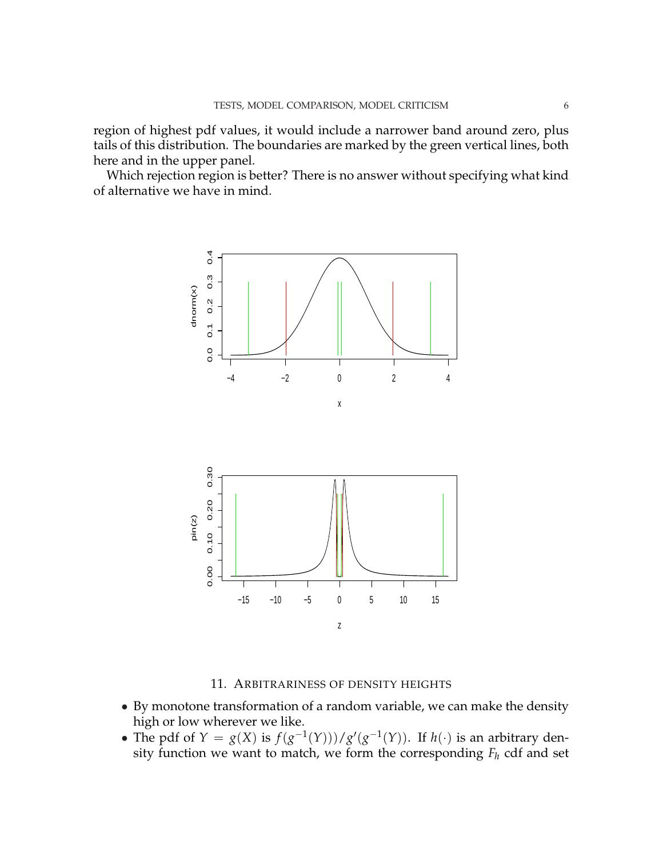region of highest pdf values, it would include a narrower band around zero, plus tails of this distribution. The boundaries are marked by the green vertical lines, both here and in the upper panel.

Which rejection region is better? There is no answer without specifying what kind of alternative we have in mind.



11. ARBITRARINESS OF DENSITY HEIGHTS

- By monotone transformation of a random variable, we can make the density high or low wherever we like.
- The pdf of  $Y = g(X)$  is  $f(g^{-1}(Y)) / g'(g^{-1}(Y))$ . If  $h(\cdot)$  is an arbitrary density function we want to match, we form the corresponding *F<sup>h</sup>* cdf and set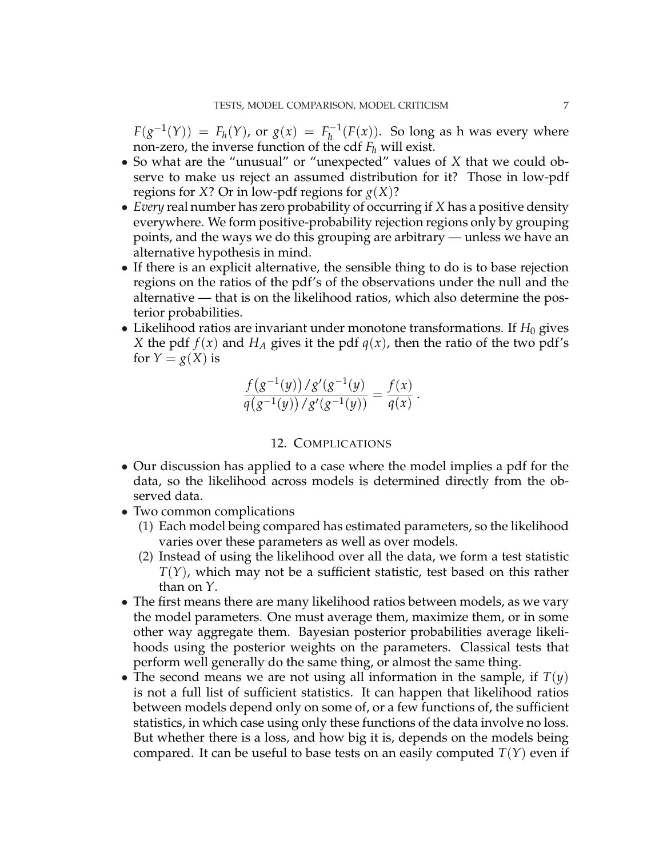$F(g^{-1}(Y)) = F_h(Y)$ , or  $g(x) = F_h^{-1}$  $h_h^{-1}(F(x))$ . So long as h was every where non-zero, the inverse function of the cdf  $F_h$  will exist.

- So what are the "unusual" or "unexpected" values of *X* that we could observe to make us reject an assumed distribution for it? Those in low-pdf regions for *X*? Or in low-pdf regions for  $g(X)$ ?
- *Every* real number has zero probability of occurring if *X* has a positive density everywhere. We form positive-probability rejection regions only by grouping points, and the ways we do this grouping are arbitrary — unless we have an alternative hypothesis in mind.
- If there is an explicit alternative, the sensible thing to do is to base rejection regions on the ratios of the pdf's of the observations under the null and the alternative — that is on the likelihood ratios, which also determine the posterior probabilities.
- Likelihood ratios are invariant under monotone transformations. If  $H_0$  gives *X* the pdf  $f(x)$  and  $H_A$  gives it the pdf  $q(x)$ , then the ratio of the two pdf's for  $Y = g(X)$  is

$$
\frac{f(g^{-1}(y))/g'(g^{-1}(y))}{q(g^{-1}(y))/g'(g^{-1}(y))} = \frac{f(x)}{q(x)}.
$$

### 12. COMPLICATIONS

- Our discussion has applied to a case where the model implies a pdf for the data, so the likelihood across models is determined directly from the observed data.
- Two common complications
	- (1) Each model being compared has estimated parameters, so the likelihood varies over these parameters as well as over models.
	- (2) Instead of using the likelihood over all the data, we form a test statistic *T*(*Y*), which may not be a sufficient statistic, test based on this rather than on *Y*.
- The first means there are many likelihood ratios between models, as we vary the model parameters. One must average them, maximize them, or in some other way aggregate them. Bayesian posterior probabilities average likelihoods using the posterior weights on the parameters. Classical tests that perform well generally do the same thing, or almost the same thing.
- The second means we are not using all information in the sample, if  $T(y)$ is not a full list of sufficient statistics. It can happen that likelihood ratios between models depend only on some of, or a few functions of, the sufficient statistics, in which case using only these functions of the data involve no loss. But whether there is a loss, and how big it is, depends on the models being compared. It can be useful to base tests on an easily computed  $T(Y)$  even if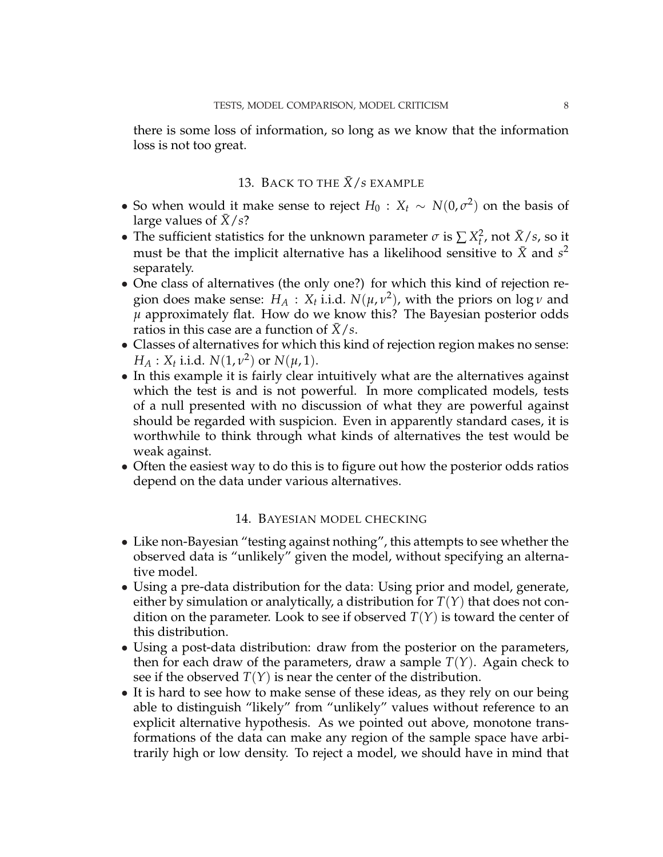there is some loss of information, so long as we know that the information loss is not too great.

## 13. BACK TO THE  $\bar{X}/s$  EXAMPLE

- So when would it make sense to reject  $H_0: X_t \sim N(0, \sigma^2)$  on the basis of large values of  $\bar{X}/s$ ?
- The sufficient statistics for the unknown parameter  $\sigma$  is  $\sum X_t^2$ , not  $\bar{X}/s$ , so it must be that the implicit alternative has a likelihood sensitive to  $\bar{X}$  and  $s^2$ separately.
- One class of alternatives (the only one?) for which this kind of rejection region does make sense:  $H_A$ :  $X_t$  i.i.d.  $N(\mu, \nu^2)$ , with the priors on log  $\nu$  and *µ* approximately flat. How do we know this? The Bayesian posterior odds ratios in this case are a function of  $X/s$ .
- Classes of alternatives for which this kind of rejection region makes no sense: *H<sub>A</sub>* : *X<sub>t</sub>* i.i.d. *N*(1, *v*<sup>2</sup>) or *N*( $\mu$ , 1).
- In this example it is fairly clear intuitively what are the alternatives against which the test is and is not powerful. In more complicated models, tests of a null presented with no discussion of what they are powerful against should be regarded with suspicion. Even in apparently standard cases, it is worthwhile to think through what kinds of alternatives the test would be weak against.
- Often the easiest way to do this is to figure out how the posterior odds ratios depend on the data under various alternatives.

### 14. BAYESIAN MODEL CHECKING

- Like non-Bayesian "testing against nothing", this attempts to see whether the observed data is "unlikely" given the model, without specifying an alternative model.
- Using a pre-data distribution for the data: Using prior and model, generate, either by simulation or analytically, a distribution for  $T(Y)$  that does not condition on the parameter. Look to see if observed  $T(Y)$  is toward the center of this distribution.
- Using a post-data distribution: draw from the posterior on the parameters, then for each draw of the parameters, draw a sample  $T(Y)$ . Again check to see if the observed  $T(Y)$  is near the center of the distribution.
- It is hard to see how to make sense of these ideas, as they rely on our being able to distinguish "likely" from "unlikely" values without reference to an explicit alternative hypothesis. As we pointed out above, monotone transformations of the data can make any region of the sample space have arbitrarily high or low density. To reject a model, we should have in mind that